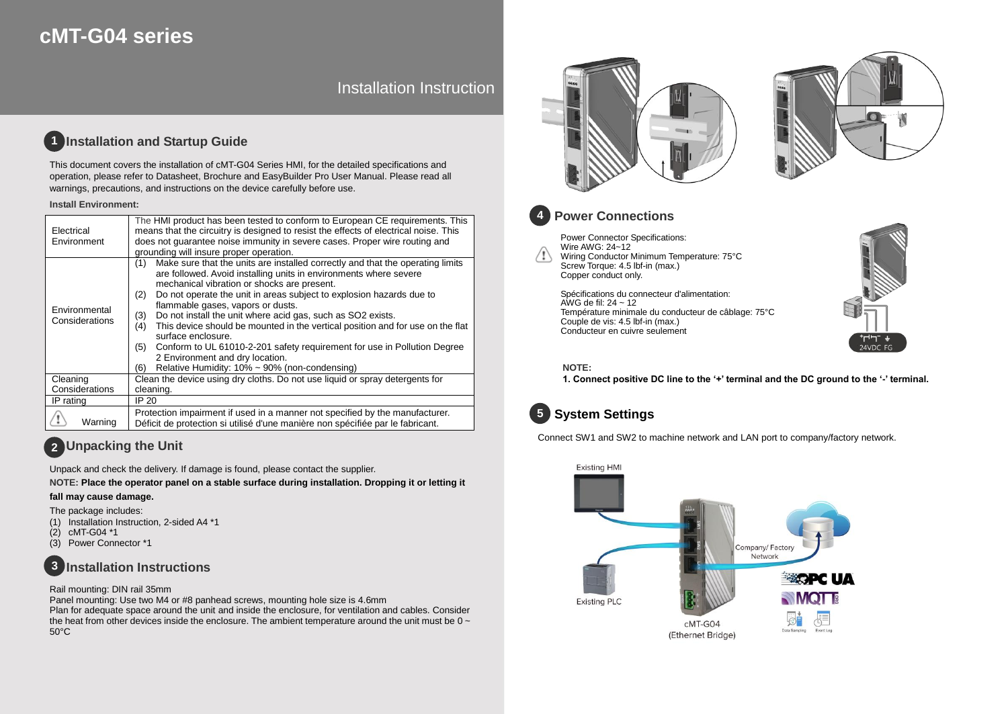# **cMT-G04 series**

# Installation Instruction

#### **Installation and Startup Guide 1**

This document covers the installation of cMT-G04 Series HMI, for the detailed specifications and operation, please refer to Datasheet, Brochure and EasyBuilder Pro User Manual. Please read all warnings, precautions, and instructions on the device carefully before use.

### **Install Environment:**

| Electrical<br>Environment       | The HMI product has been tested to conform to European CE requirements. This<br>means that the circuitry is designed to resist the effects of electrical noise. This<br>does not quarantee noise immunity in severe cases. Proper wire routing and<br>grounding will insure proper operation.                                                                                                                                                                                                                                                                                                                                                                                                    |  |
|---------------------------------|--------------------------------------------------------------------------------------------------------------------------------------------------------------------------------------------------------------------------------------------------------------------------------------------------------------------------------------------------------------------------------------------------------------------------------------------------------------------------------------------------------------------------------------------------------------------------------------------------------------------------------------------------------------------------------------------------|--|
| Environmental<br>Considerations | Make sure that the units are installed correctly and that the operating limits<br>(1)<br>are followed. Avoid installing units in environments where severe<br>mechanical vibration or shocks are present.<br>Do not operate the unit in areas subject to explosion hazards due to<br>(2)<br>flammable gases, vapors or dusts.<br>Do not install the unit where acid gas, such as SO2 exists.<br>(3)<br>This device should be mounted in the vertical position and for use on the flat<br>(4)<br>surface enclosure.<br>Conform to UL 61010-2-201 safety requirement for use in Pollution Degree<br>(5)<br>2 Environment and dry location.<br>Relative Humidity: 10% ~ 90% (non-condensing)<br>(6) |  |
| Cleaning                        | Clean the device using dry cloths. Do not use liquid or spray detergents for                                                                                                                                                                                                                                                                                                                                                                                                                                                                                                                                                                                                                     |  |
| Considerations                  | cleaning.                                                                                                                                                                                                                                                                                                                                                                                                                                                                                                                                                                                                                                                                                        |  |
| IP rating                       | IP 20                                                                                                                                                                                                                                                                                                                                                                                                                                                                                                                                                                                                                                                                                            |  |
| Warning                         | Protection impairment if used in a manner not specified by the manufacturer.<br>Déficit de protection si utilisé d'une manière non spécifiée par le fabricant.                                                                                                                                                                                                                                                                                                                                                                                                                                                                                                                                   |  |

# **Unpacking the Unit 2**

Unpack and check the delivery. If damage is found, please contact the supplier.

**NOTE: Place the operator panel on a stable surface during installation. Dropping it or letting it** 

### **fall may cause damage.**

The package includes:

- (1) Installation Instruction, 2-sided A4 \*1
- (2) cMT-G04 \*1
- Power Connector \*1

#### **Installation Instructions 3**

### Rail mounting: DIN rail 35mm

Panel mounting: Use two M4 or #8 panhead screws, mounting hole size is 4.6mm Plan for adequate space around the unit and inside the enclosure, for ventilation and cables. Consider the heat from other devices inside the enclosure. The ambient temperature around the unit must be  $0 \sim$ 50°C





24VDC FG



## **Power Connections**

Power Connector Specifications: Wire AWG: 24~12 /!\ Wiring Conductor Minimum Temperature: 75°C Screw Torque: 4.5 lbf-in (max.) Copper conduct only.

> Spécifications du connecteur d'alimentation: AWG de fil:  $24 \sim 12$ Température minimale du conducteur de câblage: 75°C Couple de vis: 4.5 lbf-in (max.) Conducteur en cuivre seulement



**1. Connect positive DC line to the '+' terminal and the DC ground to the '-' terminal.**

# **System Settings 5**

Connect SW1 and SW2 to machine network and LAN port to company/factory network.